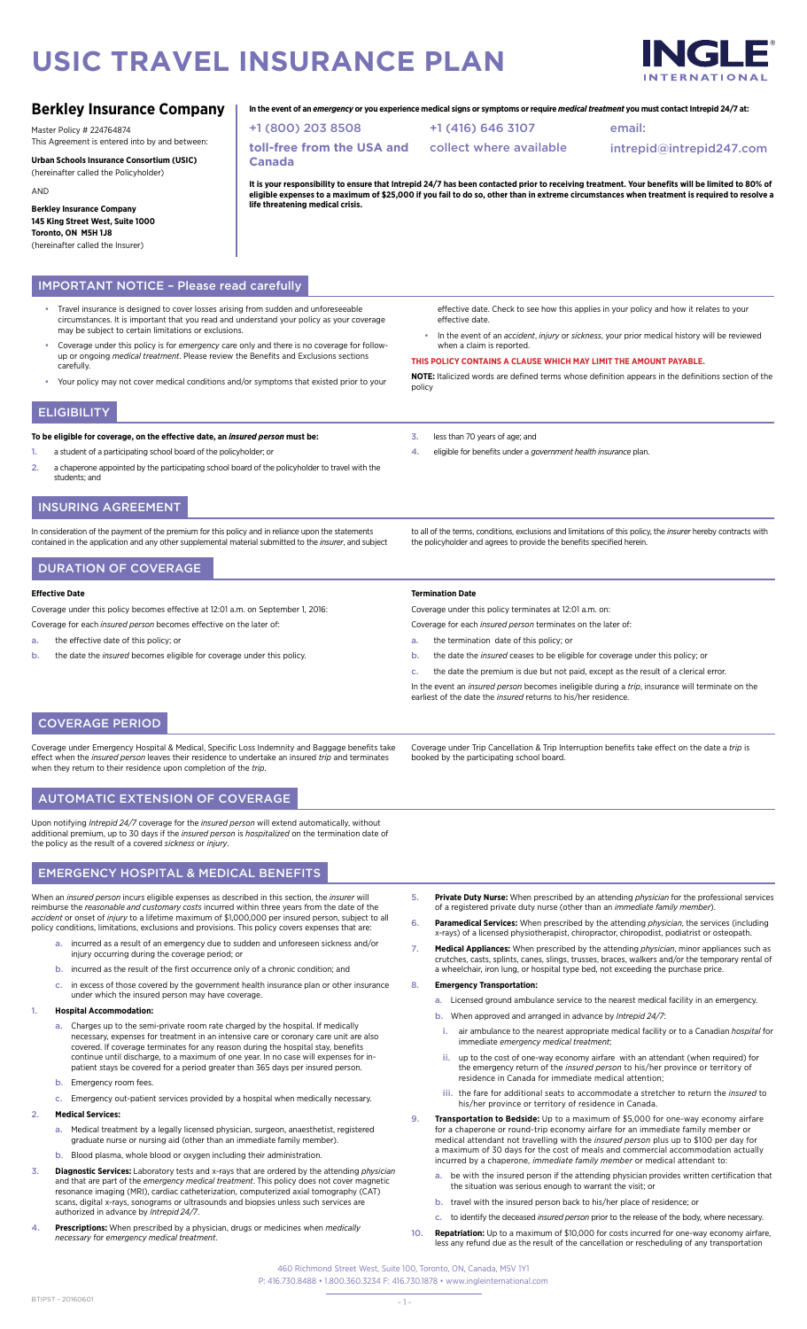# **USIC TRAVEL INSURANCE PLAN**

**Canada**

+1 (800) 203 8508

**life threatening medical crisis.**<br>**life threatening medical crisis.** 

**toll-free from the USA and** 



intrepid@intrepid247.com

# **Berkley Insurance Company**

Master Policy # 224764874

This Agreement is entered into by and between:

**Urban Schools Insurance Consortium (USIC)** (hereinafter called the Policyholder) AND

**Berkley Insurance Company 145 King Street West, Suite 1000 Toronto, ON M5H 1J8**  (hereinafter called the Insurer)

# IMPORTANT NOTICE – Please read carefully

- Travel insurance is designed to cover losses arising from sudden and unforeseeable circumstances. It is important that you read and understand your policy as your coverage may be subject to certain limitations or exclusions.
- Coverage under this policy is for *emergency* care only and there is no coverage for followup or ongoing *medical treatment*. Please review the Benefits and Exclusions sections carefully.
	- Your policy may not cover medical conditions and/or symptoms that existed prior to your

# **ELIGIBILITY**

### **To be eligible for coverage, on the effective date, an** *insured person* **must be:**

- a student of a participating school board of the policyholder; or
- 2. a chaperone appointed by the participating school board of the policyholder to travel with the students; and

# INSURING AGREEMENT

In consideration of the payment of the premium for this policy and in reliance upon the statements contained in the application and any other supplemental material submitted to the *insurer*, and subject

# DURATION OF COVERAGE

### **Effective Date**

Coverage under this policy becomes effective at 12:01 a.m. on September 1, 2016:

- Coverage for each *insured person* becomes effective on the later of:
- a. the effective date of this policy; or
- b. the date the *insured* becomes eligible for coverage under this policy.

effective date. Check to see how this applies in your policy and how it relates to your effective date.

email:

• In the event of an *accident*, *injury* or *sickness*, your prior medical history will be reviewed when a claim is reported.

**THIS POLICY CONTAINS A CLAUSE WHICH MAY LIMIT THE AMOUNT PAYABLE.**

**NOTE:** Italicized words are defined terms whose definition appears in the definitions section of the policy

3. less than 70 years of age; and

+1 (416) 646 3107 collect where available

**In the event of an** *emergency* **or you experience medical signs or symptoms or require** *medical treatment* **you must contact Intrepid 24/7 at:**

It is your responsibility to ensure that Intrepid 24/7 has been contacted prior to receiving treatment. Your benefits will be limited to 80% of<br>eligible expenses to a maximum of \$25,000 if you fail to do so, other than in

4. eligible for benefits under a *government health insurance* plan.

to all of the terms, conditions, exclusions and limitations of this policy, the *insurer* hereby contracts with the policyholder and agrees to provide the benefits specified herein.

# **Termination Date**

Coverage under this policy terminates at 12:01 a.m. on:

- Coverage for each *insured person* terminates on the later of:
- a. the termination date of this policy; or

booked by the participating school board.

- b. the date the *insured* ceases to be eligible for coverage under this policy; or
- c. the date the premium is due but not paid, except as the result of a clerical error.

In the event an *insured person* becomes ineligible during a *trip*, insurance will terminate on the earliest of the date the *insured* returns to his/her residence.

Coverage under Trip Cancellation & Trip Interruption benefits take effect on the date a *trip* is

# COVERAGE PERIOD

Coverage under Emergency Hospital & Medical, Specific Loss Indemnity and Baggage benefits take effect when the *insured person* leaves their residence to undertake an insured *trip* and terminates when they return to their residence upon completion of the *trip*.

# AUTOMATIC EXTENSION OF COVERAGE

Upon notifying *Intrepid 24/7* coverage for the *insured person* will extend automatically, without additional premium, up to 30 days if the *insured person* is *hospitalized* on the termination date of the policy as the result of a covered *sickness* or *injury*.

# EMERGENCY HOSPITAL & MEDICAL BENEFITS

When an *insured person* incurs eligible expenses as described in this section, the *insurer* will reimburse the *reasonable and customary costs* incurred within three years from the date of the *accident* or onset of *injury* to a lifetime maximum of \$1,000,000 per insured person, subject to all policy conditions, limitations, exclusions and provisions. This policy covers expenses that are:

- incurred as a result of an emergency due to sudden and unforeseen sickness and/or injury occurring during the coverage period; or
- b. incurred as the result of the first occurrence only of a chronic condition; and
- c. in excess of those covered by the government health insurance plan or other insurance under which the insured person may have coverage.

# 1. **Hospital Accommodation:**

- a. Charges up to the semi-private room rate charged by the hospital. If medically necessary, expenses for treatment in an intensive care or coronary care unit are also covered. If coverage terminates for any reason during the hospital stay, benefits continue until discharge, to a maximum of one year. In no case will expenses for in-patient stays be covered for a period greater than 365 days per insured person.
- b. Emergency room fees.
- Emergency out-patient services provided by a hospital when medically necess

#### 2. **Medical Services:**

- a. Medical treatment by a legally licensed physician, surgeon, anaesthetist, registered graduate nurse or nursing aid (other than an immediate family member).
- b. Blood plasma, whole blood or oxygen including their administration.
- 3. **Diagnostic Services:** Laboratory tests and x-rays that are ordered by the attending *physician* and that are part of the *emergency medical treatment*. This policy does not cover magnetic resonance imaging (MRI), cardiac catheterization, computerized axial tomography (CAT) scans, digital x-rays, sonograms or ultrasounds and biopsies unless such services are authorized in advance by *Intrepid 24/7*.
- 4. **Prescriptions:** When prescribed by a physician, drugs or medicines when *medically necessary* for *emergency medical treatment*.
- 5. **Private Duty Nurse:** When prescribed by an attending *physician* for the professional services of a registered private duty nurse (other than an *immediate family member*).
- 6. **Paramedical Services:** When prescribed by the attending *physician*, the services (including x-rays) of a licensed physiotherapist, chiropractor, chiropodist, podiatrist or osteopath.
- 7. **Medical Appliances:** When prescribed by the attending *physician*, minor appliances such as crutches, casts, splints, canes, slings, trusses, braces, walkers and/or the temporary rental of a wheelchair, iron lung, or hospital type bed, not exceeding the purchase price.

### 8. **Emergency Transportation:**

- Licensed ground ambulance service to the nearest medical facility in an emergency.
- b. When approved and arranged in advance by *Intrepid 24/7*:
- i. air ambulance to the nearest appropriate medical facility or to a Canadian *hospital* for immediate *emergency medical treatment*;
- ii. up to the cost of one-way economy airfare with an attendant (when required) for the emergency return of the *insured person* to his/her province or territory of residence in Canada for immediate medical attention;
- iii. the fare for additional seats to accommodate a stretcher to return the *insured* to his/her province or territory of residence in Canada.
- 9. **Transportation to Bedside:** Up to a maximum of \$5,000 for one-way economy airfare for a chaperone or round-trip economy airfare for an immediate family member or medical attendant not travelling with the *insured person* plus up to \$100 per day for a maximum of 30 days for the cost of meals and commercial accommodation actually incurred by a chaperone, *immediate family member* or medical attendant to:
	- a. be with the insured person if the attending physician provides written certification that the situation was serious enough to warrant the visit; or in was serious enough to warrant the
	- b. travel with the insured person back to his/her place of residence; or
- c. to identify the deceased *insured person* prior to the release of the body, where necessary. 10. **Repatriation:** Up to a maximum of \$10,000 for costs incurred for one-way economy airfare,
- less any refund due as the result of the cancellation or rescheduling of any transportation

460 Richmond Street West, Suite 100, Toronto, ON, Canada, M5V 1Y1 P: 416.730.8488 • 1.800.360.3234 F: 416.730.1878 • www.ingleinternational.com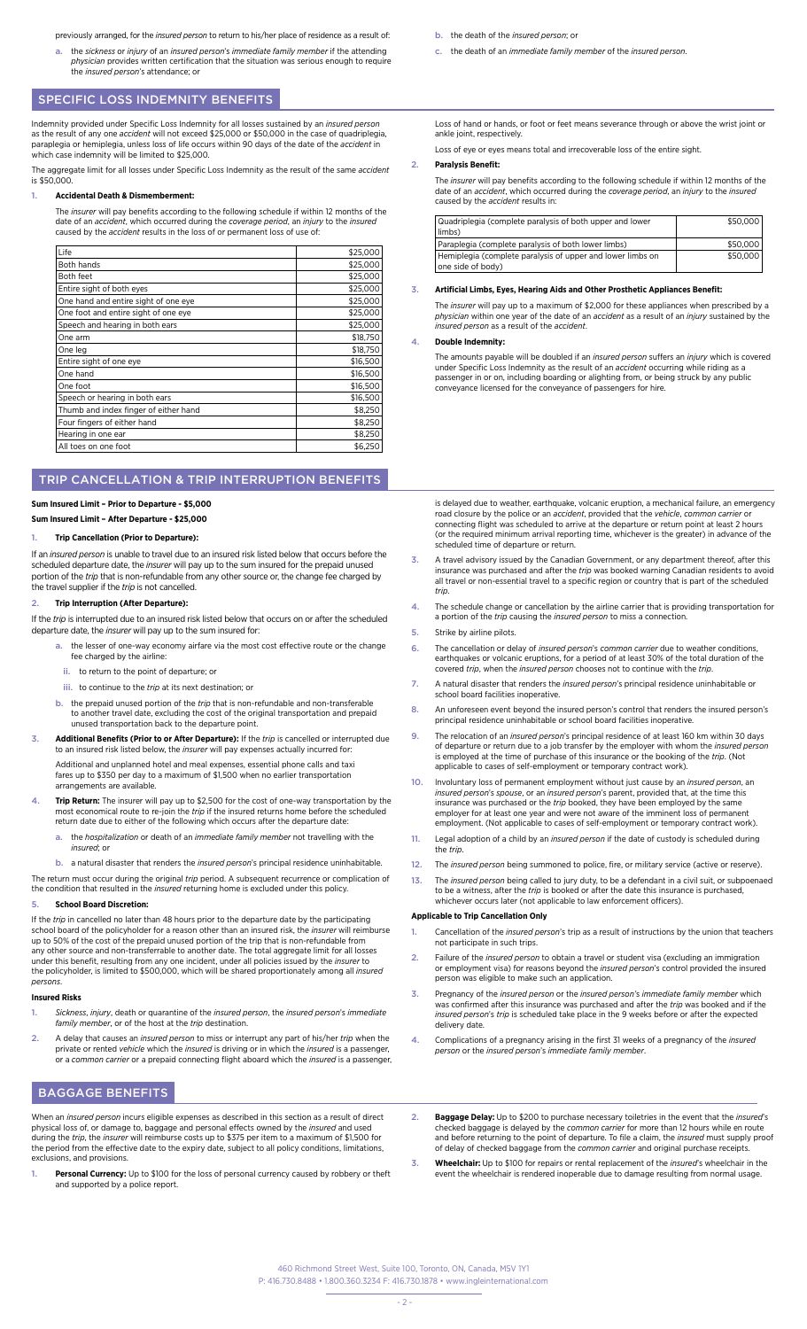- previously arranged, for the *insured person* to return to his/her place of residence as a result of:
- a. the sickness or injury of an insured person's immediate family member if the attending<br>physician provides written certification that the situation was serious enough to require<br>the insured person's attendance; or

# SPECIFIC LOSS INDEMNITY BENEFITS

Indemnity provided under Specific Loss Indemnity for all losses sustained by an *insured person*  as the result of any one *accident* will not exceed \$25,000 or \$50,000 in the case of quadriplegia, paraplegia or hemiplegia, unless loss of life occurs within 90 days of the date of the *accident* in which case indemnity will be limited to \$25,000.

The aggregate limit for all losses under Specific Loss Indemnity as the result of the same *accident* is \$50,000.

### 1. **Accidental Death & Dismemberment:**

The *insurer* will pay benefits according to the following schedule if within 12 months of the date of an *accident*, which occurred during the *coverage period*, an *injury* to the *insured* caused by the *accident* results in the loss of or permanent loss of use of:

| Life                                  | \$25,000 |
|---------------------------------------|----------|
| Both hands                            | \$25,000 |
| Both feet                             | \$25,000 |
| Entire sight of both eyes             | \$25,000 |
| One hand and entire sight of one eye  | \$25,000 |
| One foot and entire sight of one eye  | \$25,000 |
| Speech and hearing in both ears       | \$25,000 |
| One arm                               | \$18,750 |
| One leg                               | \$18,750 |
| Entire sight of one eye               | \$16,500 |
| One hand                              | \$16,500 |
| One foot                              | \$16,500 |
| Speech or hearing in both ears        | \$16,500 |
| Thumb and index finger of either hand | \$8,250  |
| Four fingers of either hand           | \$8,250  |
| Hearing in one ear                    | \$8,250  |
| All toes on one foot                  | \$6,250  |

# TRIP CANCELLATION & TRIP INTERRUPTION BENEFITS

### **Sum Insured Limit – Prior to Departure - \$5,000**

**Sum Insured Limit – After Departure - \$25,000**

#### 1. **Trip Cancellation (Prior to Departure):**

If an *insured person* is unable to travel due to an insured risk listed below that occurs before the scheduled departure date, the *insurer* will pay up to the sum insured for the prepaid unused portion of the *trip* that is non-refundable from any other source or, the change fee charged by the travel supplier if the *trip* is not cancelled.

#### 2. **Trip Interruption (After Departure):**

If the *trip* is interrupted due to an insured risk listed below that occurs on or after the scheduled departure date, the *insurer* will pay up to the sum insured for:

- the lesser of one-way economy airfare via the most cost effective route or the change fee charged by the airline:
- ii. to return to the point of departure; or
- iii. to continue to the *trip* at its next destination; or
- b. the prepaid unused portion of the *trip* that is non-refundable and non-transferable to another travel date, excluding the cost of the original transportation and prepaid unused transportation back to the departure point.
- 3. **Additional Benefits (Prior to or After Departure):** If the *trip* is cancelled or interrupted due to an insured risk listed below, the *insurer* will pay expenses actually incurred for:

Additional and unplanned hotel and meal expenses, essential phone calls and taxi fares up to \$350 per day to a maximum of \$1,500 when no earlier transportation arrangements are available.

- Trip Return: The insurer will pay up to \$2,500 for the cost of one-way transportation by the most economical route to re-join the *trip* if the insured returns home before the scheduled return date due to either of the following which occurs after the departure date:
	- a. the *hospitalization* or death of an *immediate family member* not travelling with the *insured*; or
- b. a natural disaster that renders the *insured person*'s principal residence uninhabitable.

The return must occur during the original *trip* period. A subsequent recurrence or complication of the condition that resulted in the *insured* returning home is excluded under this policy.

# 5. **School Board Discretion:**

If the *trip* in cancelled no later than 48 hours prior to the departure date by the participating<br>school board of the policyholder for a reason other than an insured risk, the *insurer* will reimburse<br>up to 50% of the cos any other source and non-transferrable to another date. The total aggregate limit for all losses under this benefit, resulting from any one incident, under all policies issued by the *insurer* to the policyholder, is limited to \$500,000, which will be shared proportionately among all *insured persons*.

### **Insured Risks**

- 1. *Sickness*, *injury*, death or quarantine of the *insured person*, the *insured person*'s *immediate family member*, or of the host at the *trip* destination.
- 2. A delay that causes an *insured person* to miss or interrupt any part of his/her *trip* when the private or rented *vehicle* which the *insured* is driving or in which the *insured* is a passenger, or a *common carrier* or a prepaid connecting flight aboard which the *insured* is a passenger,

# BAGGAGE BENEFITS

When an *insured person* incurs eligible expenses as described in this section as a result of direct physical loss of, or damage to, baggage and personal effects owned by the *insured* and used during the *trip*, the *insurer* will reimburse costs up to \$375 per item to a maximum of \$1,500 for the period from the effective date to the expiry date, subject to all policy conditions, limitations, exclusions, and provisions.

1. **Personal Currency:** Up to \$100 for the loss of personal currency caused by robbery or theft and supported by a police report.

- b. the death of the *insured person*; or
- c. the death of an *immediate family member* of the *insured person*.

Loss of hand or hands, or foot or feet means severance through or above the wrist joint or ankle joint, respectively.

Loss of eye or eyes means total and irrecoverable loss of the entire sight.

#### 2. **Paralysis Benefit:**

The *insurer* will pay benefits according to the following schedule if within 12 months of the date of an *accident*, which occurred during the *coverage period*, an *injury* to the *insured*  caused by the *accident* results in:

| Quadriplegia (complete paralysis of both upper and lower<br>limbs)              | \$50,000 |
|---------------------------------------------------------------------------------|----------|
| Paraplegia (complete paralysis of both lower limbs)                             | \$50,000 |
| Hemiplegia (complete paralysis of upper and lower limbs on<br>one side of body) | \$50,000 |

#### 3. **Artificial Limbs, Eyes, Hearing Aids and Other Prosthetic Appliances Benefit:**

The *insurer* will pay up to a maximum of \$2,000 for these appliances when prescribed by a *physician* within one year of the date of an *accident* as a result of an *injury* sustained by the *insured person* as a result of the *accident*.

# 4. **Double Indemnity:**

The amounts payable will be doubled if an *insured person* suffers an *injury* which is covered under Specific Loss Indemnity as the result of an *accident* occurring while riding as a<br>passenger in or on, including boarding or alighting from, or being struck by any public conveyance licensed for the conveyance of passengers for hire.

is delayed due to weather, earthquake, volcanic eruption, a mechanical failure, an emergency road closure by the police or an *accident*, provided that the *vehicle*, *common carrier* or connecting flight was scheduled to arrive at the departure or return point at least 2 hours (or the required minimum arrival reporting time, whichever is the greater) in advance of the scheduled time of departure or return.

- 3. A travel advisory issued by the Canadian Government, or any department thereof, after this insurance was purchased and after the *trip* was booked warning Canadian residents to avoid all travel or non-essential travel to a specific region or country that is part of the scheduled *trip*.
- 4. The schedule change or cancellation by the airline carrier that is providing transportation for a portion of the *trip* causing the *insured person* to miss a connection.
- 5. Strike by airline pilots.
- 6. The cancellation or delay of *insured person*'s *common carrier* due to weather conditions, earthquakes or volcanic eruptions, for a period of at least 30% of the total duration of the covered *trip*, when the *insured person* chooses not to continue with the *trip*.
- 7. A natural disaster that renders the *insured person*'s principal residence uninhabitable or school board facilities inoperative.
- 8. An unforeseen event beyond the insured person's control that renders the insured person's principal residence uninhabitable or school board facilities inoperative.
- 9. The relocation of an *insured person*'s principal residence of at least 160 km within 30 days of departure or return due to a job transfer by the employer with whom the *insured person* is employed at the time of purchase of this insurance or the booking of the *trip*. (Not applicable to cases of self-employment or temporary contract work).
- 10. Involuntary loss of permanent employment without just cause by an *insured person*, an *insured person*'s *spouse*, or an *insured person*'s parent, provided that, at the time this insurance was purchased or the *trip* booked, they have been employed by the same employer for at least one year and were not aware of the imminent loss of permanent employment. (Not applicable to cases of self-employment or temporary contract work).
- 11. Legal adoption of a child by an *insured person* if the date of custody is scheduled during the *trip*.
- 12. The *insured person* being summoned to police, fire, or military service (active or reserve).
- 13. The *insured person* being called to jury duty, to be a defendant in a civil suit, or subpoenaed to be a witness, after the *trip* is booked or after the date this insurance is purchased, whichever occurs later (not applicable to law enforcement officers).

### **Applicable to Trip Cancellation Only**

- 1. Cancellation of the *insured person*'s trip as a result of instructions by the union that teachers not participate in such trips.
- 2. Failure of the *insured person* to obtain a travel or student visa (excluding an immigration or employment visa) for reasons beyond the *insured person*'s control provided the insured person was eligible to make such an application.
- 3. Pregnancy of the *insured person* or the *insured person'*s *immediate family member* which was confirmed after this insurance was purchased and after the *trip* was booked and if the *insured person*'s *trip* is scheduled take place in the 9 weeks before or after the expected delivery date.
- 4. Complications of a pregnancy arising in the first 31 weeks of a pregnancy of the *insured person* or the *insured person*'s *immediate family member*.
- 2. **Baggage Delay:** Up to \$200 to purchase necessary toiletries in the event that the *insured*'s checked baggage is delayed by the *common carrier* for more than 12 hours while en route and before returning to the point of departure. To file a claim, the *insured* must supply proof of delay of checked baggage from the *common carrier* and original purchase receipts.
- 3. **Wheelchair:** Up to \$100 for repairs or rental replacement of the *insured*'s wheelchair in the event the wheelchair is rendered inoperable due to damage resulting from normal usage.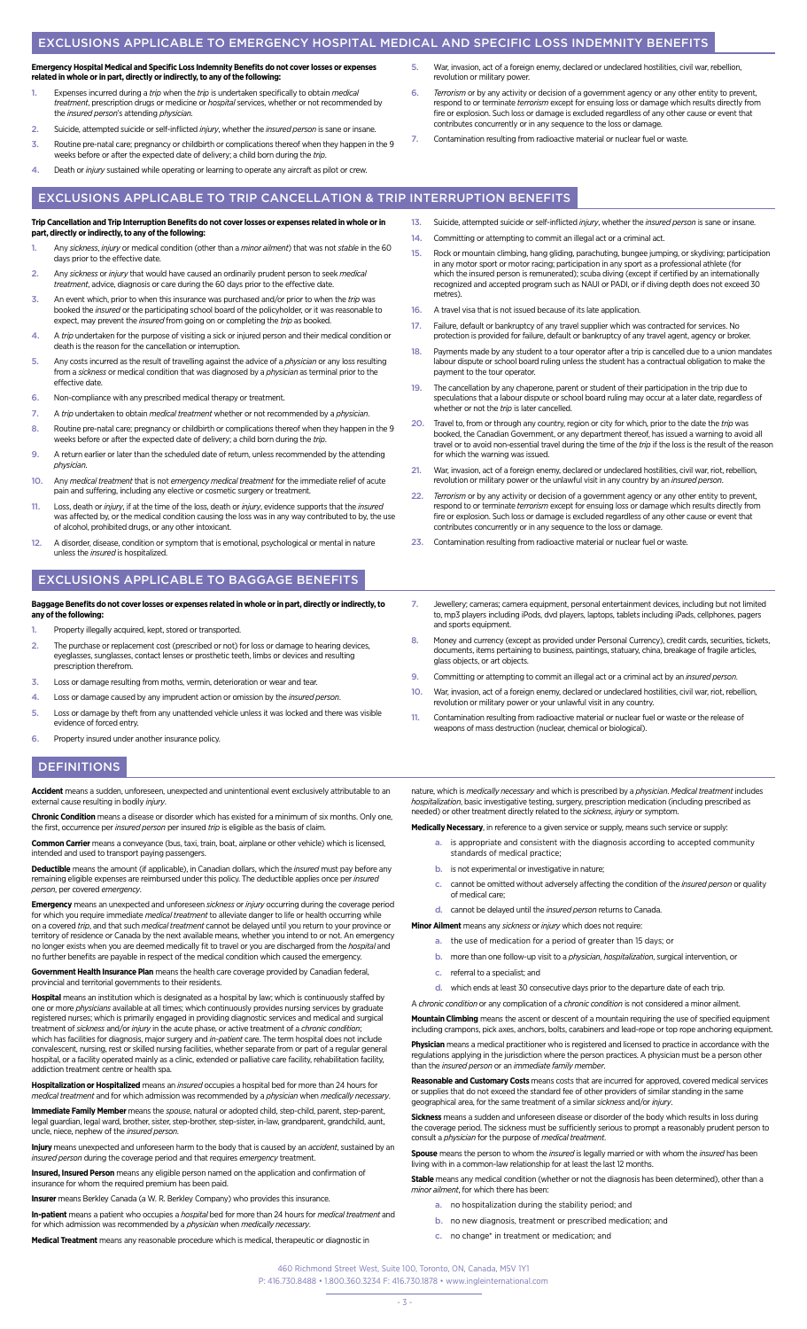# EXCLUSIONS APPLICABLE TO EMERGENCY HOSPITAL MEDICAL AND SPECIFIC LOSS INDEMNITY BENEFITS

# **Emergency Hospital Medical and Specific Loss Indemnity Benefits do not cover losses or expenses related in whole or in part, directly or indirectly, to any of the following:**

- 1. Expenses incurred during a *trip* when the *trip* is undertaken specifically to obtain *medical treatment*, prescription drugs or medicine or *hospital* services, whether or not recommended by the *insured person*'s attending *physician*.
- 2. Suicide, attempted suicide or self-inflicted *injury*, whether the *insured person* is sane or insane.
- 3. Routine pre-natal care; pregnancy or childbirth or complications thereof when they happen in the 9 weeks before or after the expected date of delivery; a child born during the *trip*.
- 4. Death or *injury* sustained while operating or learning to operate any aircraft as pilot or crew.
- 5. War, invasion, act of a foreign enemy, declared or undeclared hostilities, civil war, rebellion, revolution or military power.
- 6. *Terrorism* or by any activity or decision of a government agency or any other entity to prevent, respond to or terminate *terrorism* except for ensuing loss or damage which results directly from fire or explosion. Such loss or damage is excluded regardless of any other cause or event that contributes concurrently or in any sequence to the loss or damage.
- 7. Contamination resulting from radioactive material or nuclear fuel or waste.

# EXCLUSIONS APPLICABLE TO TRIP CANCELLATION & TRIP INTERRUPTION BENEFITS

#### **Trip Cancellation and Trip Interruption Benefits do not cover losses or expenses related in whole or in part, directly or indirectly, to any of the following:**

- 1. Any *sickness*, *injury* or medical condition (other than a *minor ailment*) that was not *stable* in the 60 days prior to the effective date.
- 2. Any *sickness* or *injury* that would have caused an ordinarily prudent person to seek *medical treatment*, advice, diagnosis or care during the 60 days prior to the effective date.
- 3. An event which, prior to when this insurance was purchased and/or prior to when the *trip* was booked the *insured* or the participating school board of the policyholder, or it was reasonable to expect, may prevent the *insured* from going on or completing the *trip* as booked.
- 4. A *trip* undertaken for the purpose of visiting a sick or injured person and their medical condition or death is the reason for the cancellation or interruption.
- 5. Any costs incurred as the result of travelling against the advice of a *physician* or any loss resulting from a *sickness* or medical condition that was diagnosed by a *physician* as terminal prior to the effective date.
- 6. Non-compliance with any prescribed medical therapy or treatment.
- 7. A *trip* undertaken to obtain *medical treatment* whether or not recommended by a *physician*.
- 8. Routine pre-natal care; pregnancy or childbirth or complications thereof when they happen in the 9 weeks before or after the expected date of delivery; a child born during the *trip*.
- 9. A return earlier or later than the scheduled date of return, unless recommended by the attending *physician*.
- 10. Any *medical treatment* that is not *emergency medical treatment* for the immediate relief of acute pain and suffering, including any elective or cosmetic surgery or treatment.
- 11. Loss, death or *injury*, if at the time of the loss, death or *injury*, evidence supports that the *insured*  was affected by, or the medical condition causing the loss was in any way contributed to by, the use of alcohol, prohibited drugs, or any other intoxicant.
- 12. A disorder, disease, condition or symptom that is emotional, psychological or mental in nature unless the *insured* is hospitalized.

# EXCLUSIONS APPLICABLE TO BAGGAGE BENEFITS

# **Baggage Benefits do not cover losses or expenses related in whole or in part, directly or indirectly, to any of the following:**

- Property illegally acquired, kept, stored or transported.
- 2. The purchase or replacement cost (prescribed or not) for loss or damage to hearing devices, eyeglasses, sunglasses, contact lenses or prosthetic teeth, limbs or devices and resulting prescription therefrom.
- 3. Loss or damage resulting from moths, vermin, deterioration or wear and te
- 4. Loss or damage caused by any imprudent action or omission by the *insured person*.
- 5. Loss or damage by theft from any unattended vehicle unless it was locked and there was visible evidence of forced entry.
- 6. Property insured under another insurance policy.

# **DEFINITIONS**

**Accident** means a sudden, unforeseen, unexpected and unintentional event exclusively attributable to an external cause resulting in bodily *injury*.

**Chronic Condition** means a disease or disorder which has existed for a minimum of six months. Only one, the first, occurrence per *insured person* per insured *trip* is eligible as the basis of claim.

**Common Carrier** means a conveyance (bus, taxi, train, boat, airplane or other vehicle) which is licensed, intended and used to transport paying passengers.

**Deductible** means the amount (if applicable), in Canadian dollars, which the *insured* must pay before any remaining eligible expenses are reimbursed under this policy. The deductible applies once per *insured person*, per covered *emergency*.

**Emergency** means an unexpected and unforeseen *sickness* or *injury* occurring during the coverage period for which you require immediate *medical treatment t*o alleviate danger to life or health occurring while<br>on a covered *trip*, and that such *medical treatment* cannot be delayed until you return to your province or territory of residence or Canada by the next available means, whether you intend to or not. An emergency no longer exists when you are deemed medically fit to travel or you are discharged from the *hospital* and no further benefits are payable in respect of the medical condition which caused the emergency.

**Government Health Insurance Plan** means the health care coverage provided by Canadian federal, provincial and territorial governments to their residents.

**Hospital** means an institution which is designated as a hospital by law; which is continuously staffed by one or more *physicians* available at all times; which continuously provides nursing services by graduate<br>registered nurses; which is primarily engaged in providing diagnostic services and medical and surgical<br>treatment of which has facilities for diagnosis, major surgery and *in-patient* care. The term hospital does not include convalescent, nursing, rest or skilled nursing facilities, whether separate from or part of a regular general hospital, or a facility operated mainly as a clinic, extended or palliative care facility, rehabilitation facility, addiction treatment centre or health spa.

**Hospitalization or Hospitalized** means an *insured* occupies a hospital bed for more than 24 hours for *medical treatment* and for which admission was recommended by a *physician* when *medically necessary*.

**Immediate Family Member** means the *spouse*, natural or adopted child, step-child, parent, step-parent, legal guardian, legal ward, brother, sister, step-brother, step-sister, in-law, grandparent, grandchild, aunt, uncle, niece, nephew of the *insured person*.

**Injury** means unexpected and unforeseen harm to the body that is caused by an *accident*, sustained by an *insured person* during the coverage period and that requires *emergency* treatment.

**Insured, Insured Person** means any eligible person named on the application and confirmation of insurance for whom the required premium has been paid.

**Insurer** means Berkley Canada (a W. R. Berkley Company) who provides this insurance.

**In-patient** means a patient who occupies a *hospital* bed for more than 24 hours for *medical treatment* and for which admission was recommended by a *physician* when *medically necessary*.

**Medical Treatment** means any reasonable procedure which is medical, therapeutic or diagnostic in

- 13. Suicide, attempted suicide or self-inflicted *injury*, whether the *insured person* is sane or insane. 14. Committing or attempting to commit an illegal act or a criminal act
- 15. Rock or mountain climbing, hang gliding, parachuting, bungee jumping, or skydiving; participation in any motor sport or motor racing; participation in any sport as a professional athlete (for which the insured person is remunerated); scuba diving (except if certified by an internationally recognized and accepted program such as NAUI or PADI, or if diving depth does not exceed 30 metres).
- 16. A travel visa that is not issued because of its late application.
- 17. Failure, default or bankruptcy of any travel supplier which was contracted for services. No protection is provided for failure, default or bankruptcy of any travel agent, agency or broker.
- 18. Payments made by any student to a tour operator after a trip is cancelled due to a union mandates labour dispute or school board ruling unless the student has a contractual obligation to make the payment to the tour operator.
- 19. The cancellation by any chaperone, parent or student of their participation in the trip due to speculations that a labour dispute or school board ruling may occur at a later date, regardless of whether or not the *trip* is later cancelled.
- 20. Travel to, from or through any country, region or city for which, prior to the date the *trip* was<br>booked, the Canadian Government, or any department thereof, has issued a warning to avoid all<br>travel or to avoid non-es for which the warning was issued.
- 21. War, invasion, act of a foreign enemy, declared or undeclared hostilities, civil war, riot, rebellion, revolution or military power or the unlawful visit in any country by an *insured person*.
- 22. *Terrorism* or by any activity or decision of a government agency or any other entity to prevent, respond to or terminate *terrorism* except for ensuing loss or damage which results directly from fire or explosion. Such loss or damage is excluded regardless of any other cause or event that contributes concurrently or in any sequence to the loss or damage.
- 23. Contamination resulting from radioactive material or nuclear fuel or waste.
- 7. Jewellery; cameras; camera equipment, personal entertainment devices, including but not limited to, mp3 players including iPods, dvd players, laptops, tablets including iPads, cellphones, pagers and sports equipment.
- 8. Money and currency (except as provided under Personal Currency), credit cards, securities, tickets, documents, items pertaining to business, paintings, statuary, china, breakage of fragile articles, glass objects, or art objects.
- 9. Committing or attempting to commit an illegal act or a criminal act by an *insured person*.
- 10. War, invasion, act of a foreign enemy, declared or undeclared hostilities, civil war, riot, rebellion, revolution or military power or your unlawful visit in any country.
- 11. Contamination resulting from radioactive material or nuclear fuel or waste or the release of weapons of mass destruction (nuclear, chemical or biological).

nature, which is *medically necessary* and which is prescribed by a *physician*. *Medical treatment* includes *hospitalization*, basic investigative testing, surgery, prescription medication (including prescribed as needed) or other treatment directly related to the *sickness*, *injury* or symptom.

**Medically Necessary**, in reference to a given service or supply, means such service or supply:

- a. is appropriate and consistent with the diagnosis according to accepted community standards of medical practice;
- b. is not experimental or investigative in nature;
- c. cannot be omitted without adversely affecting the condition of the *insured person* or quality of medical care;

d. cannot be delayed until the *insured person* returns to Canada.

- **Minor Ailment** means any *sickness* or *injury* which does not require:
	- a. the use of medication for a period of greater than 15 days; or
	- b. more than one follow-up visit to a *physician*, *hospitalization*, surgical intervention, or
	- c. referral to a specialist; and
	- d. which ends at least 30 consecutive days prior to the departure date of each trip.

A *chronic condition* or any complication of a *chronic condition* is not considered a minor ailment.

**Mountain Climbing** means the ascent or descent of a mountain requiring the use of specified equipment including crampons, pick axes, anchors, bolts, carabiners and lead-rope or top rope anchoring equipment.

**Physician** means a medical practitioner who is registered and licensed to practice in accordance with the regulations applying in the jurisdiction where the person practices. A physician must be a person other than the *insured person* or an *immediate family member*.

**Reasonable and Customary Costs** means costs that are incurred for approved, covered medical services or supplies that do not exceed the standard fee of other providers of similar standing in the same geographical area, for the same treatment of a similar *sickness* and/or *injury*.

**Sickness** means a sudden and unforeseen disease or disorder of the body which results in loss during the coverage period. The sickness must be sufficiently serious to prompt a reasonably prudent person to consult a *physician* for the purpose of *medical treatment*.

**Spouse** means the person to whom the *insured* is legally married or with whom the *insured* has been living with in a common-law relationship for at least the last 12 months.

**Stable** means any medical condition (whether or not the diagnosis has been determined), other than a *minor ailment*, for which there has been:

- a. no hospitalization during the stability period; and
- b. no new diagnosis, treatment or prescribed medication; and
- c. no change\* in treatment or medication; and
- 460 Richmond Street West, Suite 100, Toronto, ON, Canada, M5V 1Y1 P: 416.730.8488 • 1.800.360.3234 F: 416.730.1878 • www.ingleinternational.com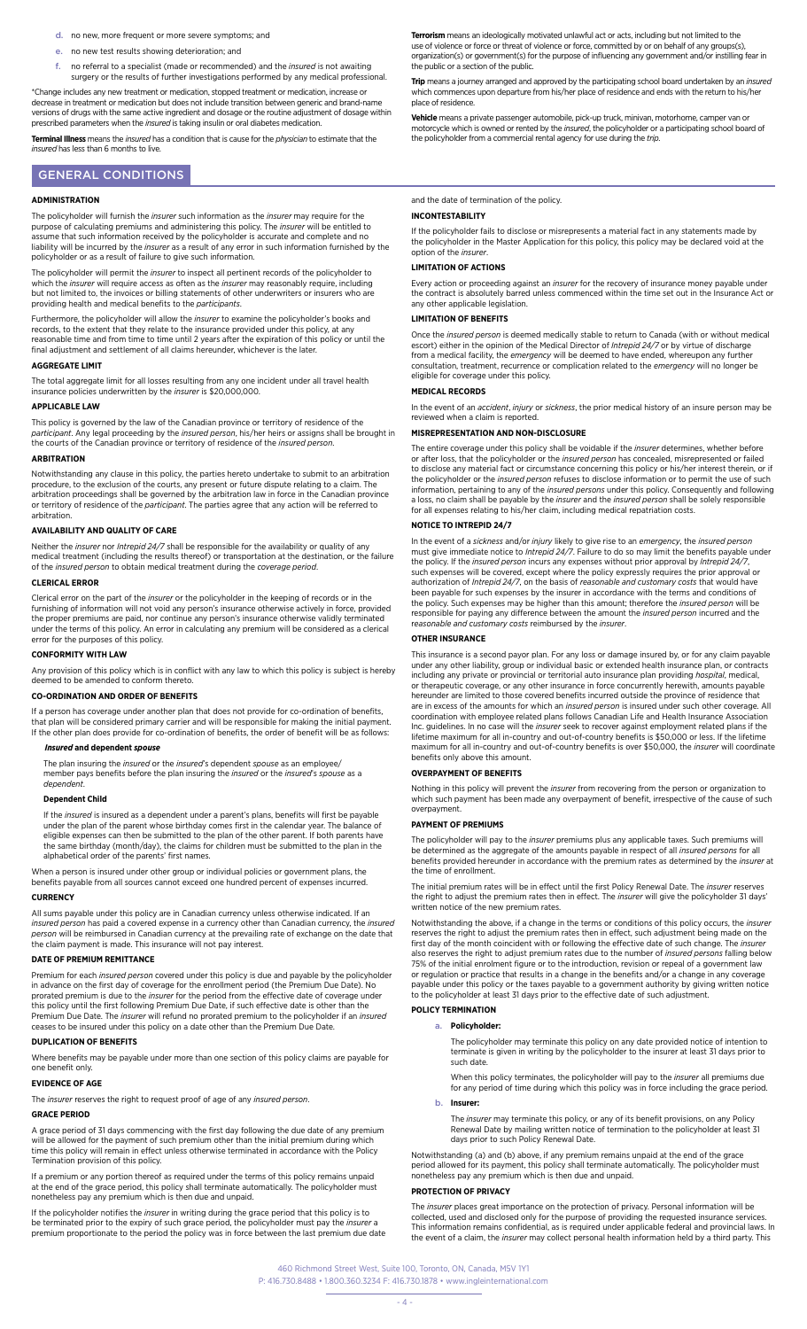- d. no new, more frequent or more severe symptoms; and
- e. no new test results showing deterioration; and
- f. no referral to a specialist (made or recommended) and the *insured* is not awaiting surgery or the results of further investigations performed by any medical professional.

\*Change includes any new treatment or medication, stopped treatment or medication, increase or decrease in treatment or medication but does not include transition between generic and brand-name versions of drugs with the same active ingredient and dosage or the routine adjustment of dosage within prescribed parameters when the *insured* is taking insulin or oral diabetes medication.

**Terminal Illness** means the *insured* has a condition that is cause for the *physician* to estimate that the *insured* has less than 6 months to live.

# GENERAL CONDITIONS

#### **ADMINISTRATION**

The policyholder will furnish the *insurer* such information as the *insurer* may require for the<br>purpose of calculating premiums and administering this policy. The *insurer* will be entitled to<br>assume that such informatio liability will be incurred by the *insurer* as a result of any error in such information furnished by the policyholder or as a result of failure to give such information.

The policyholder will permit the *insurer* to inspect all pertinent records of the policyholder to which the *insurer* will require access as often as the *insurer* may reasonably require, including but not limited to, the invoices or billing statements of other underwriters or insurers who are providing health and medical benefits to the *participants*.

Furthermore, the policyholder will allow the *insurer* to examine the policyholder's books and records, to the extent that they relate to the insurance provided under this policy, at any reasonable time and from time to time until 2 years after the expiration of this policy or until the final adjustment and settlement of all claims hereunder, whichever is the later.

#### **AGGREGATE LIMIT**

The total aggregate limit for all losses resulting from any one incident under all travel health insurance policies underwritten by the *insurer* is \$20,000,000.

### **APPLICABLE LAW**

This policy is governed by the law of the Canadian province or territory of residence of the *participant*. Any legal proceeding by the *insured person*, his/her heirs or assigns shall be brought in the courts of the Canadian province or territory of residence of the *insured person*.

#### **ADRITDATION**

Notwithstanding any clause in this policy, the parties hereto undertake to submit to an arbitration procedure, to the exclusion of the courts, any present or future dispute relating to a claim. The arbitration proceedings shall be governed by the arbitration law in force in the Canadian province or territory of residence of the *participant*. The parties agree that any action will be referred to arbitration.

### **AVAILABILITY AND QUALITY OF CARE**

Neither the *insurer* nor *Intrepid 24/7* shall be responsible for the availability or quality of any medical treatment (including the results thereof) or transportation at the destination, or the failure of the *insured person* to obtain medical treatment during the *coverage period*.

### **CLERICAL ERROR**

Clerical error on the part of the *insurer* or the policyholder in the keeping of records or in the furnishing of information will not void any person's insurance otherwise actively in force, provided the proper premiums are paid, nor continue any person's insurance otherwise validly terminated under the terms of this policy. An error in calculating any premium will be considered as a clerical error for the purposes of this policy.

#### **CONFORMITY WITH LAW**

Any provision of this policy which is in conflict with any law to which this policy is subject is hereby deemed to be amended to conform thereto.

# **CO-ORDINATION AND ORDER OF BENEFITS**

If a person has coverage under another plan that does not provide for co-ordination of benefits, that plan will be considered primary carrier and will be responsible for making the initial payment. If the other plan does provide for co-ordination of benefits, the order of benefit will be as follows:

# *Insured* **and dependent** *spouse*

The plan insuring the *insured* or the *insured*'s dependent *spouse* as an employee/ member pays benefits before the plan insuring the *insured* or the *insured*'s *spouse* as a *dependent*.

#### **Dependent Child**

If the *insured* is insured as a dependent under a parent's plans, benefits will first be payable under the plan of the parent whose birthday comes first in the calendar year. The balance of<br>eligible expenses can then be submitted to the plan of the other parent. If both parents have<br>the same birthday (month/day), the alphabetical order of the parents' first names.

When a person is insured under other group or individual policies or government plans, the benefits payable from all sources cannot exceed one hundred percent of expenses incurred.

#### **CURRENCY**

All sums payable under this policy are in Canadian currency unless otherwise indicated. If an *insured person* has paid a covered expense in a currency other than Canadian currency, the *insured person* will be reimbursed in Canadian currency at the prevailing rate of exchange on the date that the claim payment is made. This insurance will not pay interest.

#### **DATE OF PREMIUM REMITTANCE**

Premium for each *insured person* covered under this policy is due and payable by the policyholder in advance on the first day of coverage for the enrollment period (the Premium Due Date). No<br>prorated premium is due to the *insurer* for the period from the effective date of coverage under<br>this policy until the first fol Premium Due Date. The *insurer* will refund no prorated premium to the policyholder if an *insured* ceases to be insured under this policy on a date other than the Premium Due Date.

#### **DUPLICATION OF BENEFITS**

Where benefits may be payable under more than one section of this policy claims are payable for one benefit only.

#### **EVIDENCE OF AGE**

The *insurer* reserves the right to request proof of age of any *insured person*.

#### **GRACE PERIOD**

A grace period of 31 days commencing with the first day following the due date of any premium will be allowed for the payment of such premium other than the initial premium during which time this policy will remain in effect unless otherwise terminated in accordance with the Policy Termination provision of this policy.

If a premium or any portion thereof as required under the terms of this policy remains unpaid at the end of the grace period, this policy shall terminate automatically. The policyholder must nonetheless pay any premium which is then due and unpaid.

If the policyholder notifies the *insurer* in writing during the grace period that this policy is to<br>be terminated prior to the expiry of such grace period, the policyholder must pay the *insurer* a<br>premium proportionate t

**Terrorism** means an ideologically motivated unlawful act or acts, including but not limited to the use of violence or force or threat of violence or force, committed by or on behalf of any groups(s), organization(s) or government(s) for the purpose of influencing any government and/or instilling fear in the public or a section of the public.

**Trip** means a journey arranged and approved by the participating school board undertaken by an *insured* which commences upon departure from his/her place of residence and ends with the return to his/her place of residence.

**Vehicle** means a private passenger automobile, pick-up truck, minivan, motorhome, camper van or motorcycle which is owned or rented by the *insured*, the policyholder or a participating school board of the policyholder from a commercial rental agency for use during the *trip*.

and the date of termination of the policy.

# **INCONTESTABILITY**

If the policyholder fails to disclose or misrepresents a material fact in any statements made by the policyholder in the Master Application for this policy, this policy may be declared void at the option of the *insurer*.

### **LIMITATION OF ACTIONS**

Every action or proceeding against an *insurer* for the recovery of insurance money payable under the contract is absolutely barred unless commenced within the time set out in the Insurance Act or any other applicable legislation.

### **LIMITATION OF BENEFITS**

Once the *insured person* is deemed medically stable to return to Canada (with or without medical<br>escort) either in the opinion of the Medical Director of *Intrepid 24/7* or by virtue of discharge<br>from a medical facility, consultation, treatment, recurrence or complication related to the *emergency* will no longer be eligible for coverage under this policy.

#### **MEDICAL RECORDS**

In the event of an *accident*, *injury* or *sickness*, the prior medical history of an insure person may be reviewed when a claim is reported.

#### **MISREPRESENTATION AND NON-DISCLOSURE**

The entire coverage under this policy shall be voidable if the *insurer* determines, whether before or after loss, that the policyholder or the *insured person* has concealed, misrepresented or failed to disclose any material fact or circumstance concerning this policy or his/her interest therein, or if the policyholder or the *insured person* refuses to disclose information or to permit the use of such information, pertaining to any of the *insured persons* under this policy. Consequently and following a loss, no claim shall be payable by the *insurer* and the *insured person* shall be solely responsible for all expenses relating to his/her claim, including medical repatriation costs.

### **NOTICE TO INTREPID 24/7**

In the event of a *sickness* and/or *injury* likely to give rise to an *emergency*, the *insured person* must give immediate notice to *Intrepid 24/7*. Failure to do so may limit the benefits payable under the policy. If the *insured person* incurs any expenses without prior approval by *Intrepid 24/7*, such expenses will be covered, except where the policy expressly requires the prior approval or authorization of *Intrepid 24/7*, on the basis of *reasonable and customary costs* that would have been payable for such expenses by the insurer in accordance with the terms and conditions of the policy. Such expenses may be higher than this amount; therefore the *insured person* will be responsible for paying any difference between the amount the *insured person* incurred and the r*easonable and customary costs* reimbursed by the *insurer*.

#### **OTHER INSURANCE**

This insurance is a second payor plan. For any loss or damage insured by, or for any claim payable under any other liability, group or individual basic or extended health insurance plan, or contracts including any private or provincial or territorial auto insurance plan providing *hospital*, medical, or therapeutic coverage, or any other insurance in force concurrently herewith, amounts payable hereunder are limited to those covered benefits incurred outside the province of residence that are in excess of the amounts for which an *insured person* is insured under such other coverage. All coordination with employee related plans follows Canadian Life and Health Insurance Association<br>Inc. guidelines. In no case will the *insurer* seek to recover against employment related plans if the<br>lifetime maximum for al maximum for all in-country and out-of-country benefits is over \$50,000, the *insurer* will coordinate benefits only above this amount.

## **OVERPAYMENT OF BENEFITS**

Nothing in this policy will prevent the *insurer* from recovering from the person or organization to which such payment has been made any overpayment of benefit, irrespective of the cause of such overpayment.

# **PAYMENT OF PREMIUMS**

The policyholder will pay to the *insurer* premiums plus any applicable taxes. Such premiums will be determined as the aggregate of the amounts payable in respect of all *insured persons* for all benefits provided hereunder in accordance with the premium rates as determined by the *insurer* at the time of enrollment.

The initial premium rates will be in effect until the first Policy Renewal Date. The *insurer* reserves the right to adjust the premium rates then in effect. The *insurer* will give the policyholder 31 days' written notice of the new premium rates.

Notwithstanding the above, if a change in the terms or conditions of this policy occurs, the *insurer* reserves the right to adjust the premium rates then in effect, such adjustment being made on the first day of the month coincident with or following the effective date of such change. The *insurer* also reserves the right to adjust premium rates due to the number of *insured persons* falling below 75% of the initial enrolment figure or to the introduction, revision or repeal of a government law<br>or regulation or practice that results in a change in the benefits and/or a change in any coverage<br>payable under this polic to the policyholder at least 31 days prior to the effective date of such adjustment.

# **POLICY TERMINATION**

# a. **Policyholder:**

The policyholder may terminate this policy on any date provided notice of intention to terminate is given in writing by the policyholder to the insurer at least 31 days prior to such date.

When this policy terminates, the policyholder will pay to the *insurer* all premiums due for any period of time during which this policy was in force including the grace period.

#### b. **Insurer:**

The *insurer* may terminate this policy, or any of its benefit provisions, on any Policy Renewal Date by mailing written notice of termination to the policyholder at least 31 days prior to such Policy Renewal Date.

Notwithstanding (a) and (b) above, if any premium remains unpaid at the end of the grace period allowed for its payment, this policy shall terminate automatically. The policyholder must nonetheless pay any premium which is then due and unpaid.

#### **PROTECTION OF PRIVACY**

The *insurer* places great importance on the protection of privacy. Personal information will be collected, used and disclosed only for the purpose of providing the requested insurance services. This information remains confidential, as is required under applicable federal and provincial laws. In the event of a claim, the *insurer* may collect personal health information held by a third party. This

460 Richmond Street West, Suite 100, Toronto, ON, Canada, M5V 1Y1

P: 416.730.8488 • 1.800.360.3234 F: 416.730.1878 • www.ingleinternational.com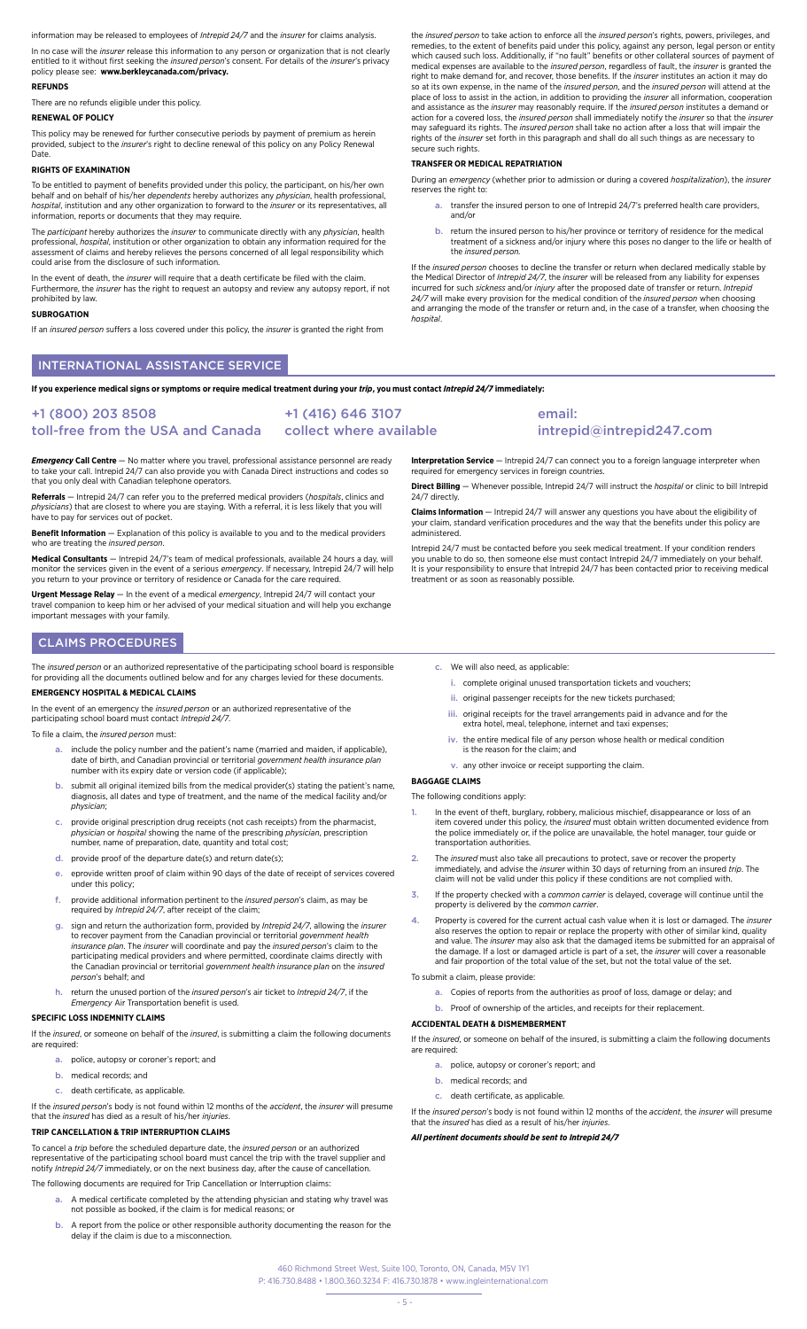mation may be released to employees of *Intrepid 24/7* and the *insurer* for claims analysis.

In no case will the *insurer* release this information to any person or organization that is not clearly entitled to it without first seeking the *insured person*'s consent. For details of the *insurer*'s privacy policy please see: **[www.berkleycanada.com/privacy.](http://www.berkleycanada.com/privacy)**

#### **REFUNDS**

There are no refunds eligible under this policy.

#### **RENEWAL OF POLICY**

This policy may be renewed for further consecutive periods by payment of premium as herein provided, subject to the *insurer*'s right to decline renewal of this policy on any Policy Renewal Date.

#### **RIGHTS OF EXAMINATION**

To be entitled to payment of benefits provided under this policy, the participant, on his/her own behalf and on behalf of his/her *dependents* hereby authorizes any *physician*, health professional, *hospital*, institution and any other organization to forward to the *insurer* or its representatives, all information, reports or documents that they may require.

The *participant* hereby authorizes the *insurer* to communicate directly with any *physician*, health professional, *hospital*, institution or other organization to obtain any information required for the assessment of claims and hereby relieves the persons concerned of all legal responsibility which could arise from the disclosure of such information.

In the event of death, the *insurer* will require that a death certificate be filed with the claim. Furthermore, the *insurer* has the right to request an autopsy and review any autopsy report, if not prohibited by law.

#### **SUBROGATION**

If an *insured person* suffers a loss covered under this policy, the *insurer* is granted the right from

INTERNATIONAL ASSISTANCE SERVICE

**If you experience medical signs or symptoms or require medical treatment during your** *trip***, you must contact** *Intrepid 24/7* **immediately:**

#### +1 (800) 203 8508 toll-free from the USA and Canada +1 (416) 646 3107 collect where available

*Emergency* **Call Centre** — No matter where you travel, professional assistance personnel are ready to take your call. Intrepid 24/7 can also provide you with Canada Direct instructions and codes so that you only deal with Canadian telephone operators.

**Referrals** — Intrepid 24/7 can refer you to the preferred medical providers (*hospitals*, clinics and *physicians*) that are closest to where you are staying. With a referral, it is less likely that you will have to pay for services out of pocket.

**Benefit Information** — Explanation of this policy is available to you and to the medical providers who are treating the *insured person*.

**Medical Consultants** — Intrepid 24/7's team of medical professionals, available 24 hours a day, will monitor the services given in the event of a serious *emergency.* If necessary, Intrepid 24/7 will help<br>you return to your province or territory of residence or Canada for the care required.

**Urgent Message Relay** — In the event of a medical *emergency*, Intrepid 24/7 will contact your travel companion to keep him or her advised of your medical situation and will help you exchange important messages with your family.

# CLAIMS PROCEDURES

The *insured person* or an authorized representative of the participating school board is responsible<br>for providing all the documents outlined below and for any charges levied for these documents.

### **EMERGENCY HOSPITAL & MEDICAL CLAIMS**

In the event of an emergency the *insured person* or an authorized representative of the participating school board must contact *Intrepid 24/7*.

To file a claim, the *insured person* must:

- a. include the policy number and the patient's name (married and maiden, if applicable), date of birth, and Canadian provincial or territorial *government health insurance plan*  number with its expiry date or version code (if applicable);
- b. submit all original itemized bills from the medical provider(s) stating the patient's name. diagnosis, all dates and type of treatment, and the name of the medical facility and/or *physician*;
- c. provide original prescription drug receipts (not cash receipts) from the pharmacist, *physician* or *hospital* showing the name of the prescribing *physician*, prescription number, name of preparation, date, quantity an
- $d.$  provide proof of the departure date(s) and return date(s);
- e. eprovide written proof of claim within 90 days of the date of receipt of services covered under this policy;
- f. provide additional information pertinent to the *insured person*'s claim, as may be required by *Intrepid 24/7*, after receipt of the claim;
- g. sign and return the authorization form, provided by *Intrepid 24/7*, allowing the *insurer* to recover payment from the Canadian provincial or territorial *government health insurance plan*. The *insurer* will coordinate and pay the *insured person*'s claim to the participating medical providers and where permitted, coordinate claims directly with the Canadian provincial or territorial *government health insurance plan* on the *insured person*'s behalf; and
- h. return the unused portion of the *insured person*'s air ticket to *Intrepid 24/7*, if the *Emergency* Air Transportation benefit is used.

### **SPECIFIC LOSS INDEMNITY CLAIMS**

If the *insured*, or someone on behalf of the *insured*, is submitting a claim the following documents are required:

- a. police, autopsy or coroner's report; and
- b. medical records; and
- c. death certificate, as applicable.

If the *insured person*'s body is not found within 12 months of the *accident*, the *insurer* will presume that the *insured* has died as a result of his/her *injuries*.

### **TRIP CANCELLATION & TRIP INTERRUPTION CLAIMS**

To cancel a *trip* before the scheduled departure date, the *insured person* or an authorized representative of the participating school board must cancel the trip with the travel supplier and notify *Intrepid 24/7* immediately, or on the next business day, after the cause of cancellation.

- The following documents are required for Trip Cancellation or Interruption claims: a. A medical certificate completed by the attending physician and stating why travel was not possible as booked, if the claim is for medical reasons; or
	- b. A report from the police or other responsible authority documenting the reason for the delay if the claim is due to a misconnection.

the *insured person* to take action to enforce all the *insured person*'s rights, powers, privileges, and remedies, to the extent of benefits paid under this policy, against any person, legal person or entity which caused such loss. Additionally, if "no fault" benefits or other collateral sources of payment of<br>medical expenses are available to the *insured person*, regardless of fault, the *insurer* is granted the<br>right to make so at its own expense, in the name of the *insured person*, and the *insured person* will attend at the place of loss to assist in the action, in addition to providing the *insurer* all information, cooperation and assistance as the *insurer* may reasonably require. If the *insured person* institutes a demand or action for a covered loss, the *insured person* shall immediately notify the *insurer* so that the *insurer*<br>may safeguard its rights. The *insured person* shall take no action after a loss that will impair the rights of the *insurer* set forth in this paragraph and shall do all such things as are necessary to secure such rights.

### **TRANSFER OR MEDICAL REPATRIATION**

During an *emergency* (whether prior to admission or during a covered *hospitalization*), the *insurer*  reserves the right to:

- a. transfer the insured person to one of Intrepid 24/7's preferred health care providers, and/or
- b. return the insured person to his/her province or territory of residence for the medical treatment of a sickness and/or injury where this poses no danger to the life or health of the *insured person.*

If the *insured person* chooses to decline the transfer or return when declared medically stable by the Medical Director of *Intrepid 24/7*, the *insurer* will be released from any liability for expenses<br>incurred for such *sickness* and/or *injury* after the proposed date of transfer or return. *Intrepid 24/7* will make every provision for the medical condition of the *insured person* when choosing and arranging the mode of the transfer or return and, in the case of a transfer, when choosing the *hospital*.

**Interpretation Service** — Intrepid 24/7 can connect you to a foreign language interpreter when required for emergency services in foreign countries.

email:

**Direct Billing** — Whenever possible, Intrepid 24/7 will instruct the *hospital* or clinic to bill Intrepid 24/7 directly.

intrepid@intrepid247.com

**Claims Information** — Intrepid 24/7 will answer any questions you have about the eligibility of your claim, standard verification procedures and the way that the benefits under this policy are administered.

Intrepid 24/7 must be contacted before you seek medical treatment. If your condition renders you unable to do so, then someone else must contact Intrepid 24/7 immediately on your behalf. It is your responsibility to ensure that Intrepid 24/7 has been contacted prior to receiving medical treatment or as soon as reasonably possible.

- c. We will also need, as applicable:
	- i. complete original unused transportation tickets and vouchers;
	- ii. original passenger receipts for the new tickets purchased;
	- iii. original receipts for the travel arrangements paid in advance and for the extra hotel, meal, telephone, internet and taxi expenses;
	- iv. the entire medical file of any person whose health or medical condition is the reason for the claim; and
	- v. any other invoice or receipt supporting the claim.

#### **BAGGAGE CLAIMS**

The following conditions apply:

- 1. In the event of theft, burglary, robbery, malicious mischief, disappearance or loss of an item covered under this policy, the *insured* must obtain written documented evidence from<br>the police immediately or, if the police are unavailable, the hotel manager, tour guide or transportation authorities.
- 2. The *insured* must also take all precautions to protect, save or recover the property immediately, and advise the *insurer* within 30 days of returning from an insured *trip*. The claim will not be valid under this policy if these conditions are not complied with.
- If the property checked with a common carrier is delayed, coverage will continue until the property is delivered by the *common carrier*.
- 4. Property is covered for the current actual cash value when it is lost or damaged. The *insurer* also reserves the option to repair or replace the property with other of similar kind, quality also reserves the option to repair or replace the property with other of similar kind, quality and value. The *insurer* may also ask that the damaged items be submitted for an appraisal of the damage. If a lost or damaged article is part of a set, the *insurer* will cover a reasonable and fair proportion of the total value of the set, but not the total value of the set.
- To submit a claim, please provide:
- a. Copies of reports from the authorities as proof of loss, damage or delay; and
	- b. Proof of ownership of the articles, and receipts for their replacement.

# **ACCIDENTAL DEATH & DISMEMBERMENT**

If the *insured*, or someone on behalf of the insured, is submitting a claim the following documents are required:

- a. police, autopsy or coroner's report; and
- b. medical records; and
- c. death certificate, as applicable.

If the *insured person*'s body is not found within 12 months of the *accident*, the *insurer* will presume that the *insured* has died as a result of his/her *injuries*.

*All pertinent documents should be sent to Intrepid 24/7*